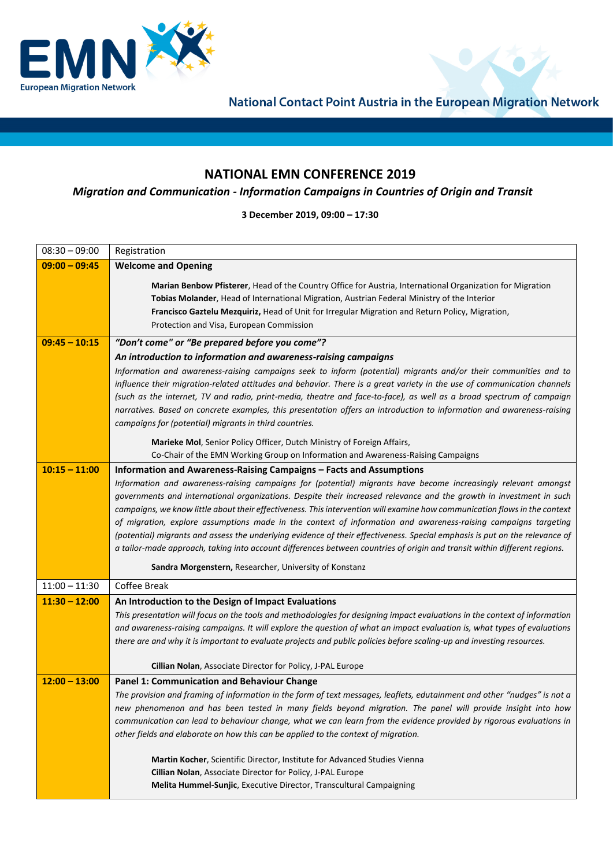

National Contact Point Austria in the European Migration Network

## **NATIONAL EMN CONFERENCE 2019**

## *Migration and Communication - Information Campaigns in Countries of Origin and Transit*

**3 December 2019, 09:00 – 17:30**

| $08:30 - 09:00$ | Registration                                                                                                                                                                                                                                  |
|-----------------|-----------------------------------------------------------------------------------------------------------------------------------------------------------------------------------------------------------------------------------------------|
| $09:00 - 09:45$ | <b>Welcome and Opening</b>                                                                                                                                                                                                                    |
|                 | Marian Benbow Pfisterer, Head of the Country Office for Austria, International Organization for Migration                                                                                                                                     |
|                 | Tobias Molander, Head of International Migration, Austrian Federal Ministry of the Interior                                                                                                                                                   |
|                 | Francisco Gaztelu Mezquiriz, Head of Unit for Irregular Migration and Return Policy, Migration,                                                                                                                                               |
|                 | Protection and Visa, European Commission                                                                                                                                                                                                      |
| $09:45 - 10:15$ | "Don't come" or "Be prepared before you come"?                                                                                                                                                                                                |
|                 | An introduction to information and awareness-raising campaigns                                                                                                                                                                                |
|                 | Information and awareness-raising campaigns seek to inform (potential) migrants and/or their communities and to                                                                                                                               |
|                 | influence their migration-related attitudes and behavior. There is a great variety in the use of communication channels                                                                                                                       |
|                 | (such as the internet, TV and radio, print-media, theatre and face-to-face), as well as a broad spectrum of campaign                                                                                                                          |
|                 | narratives. Based on concrete examples, this presentation offers an introduction to information and awareness-raising                                                                                                                         |
|                 | campaigns for (potential) migrants in third countries.                                                                                                                                                                                        |
|                 | Marieke Mol, Senior Policy Officer, Dutch Ministry of Foreign Affairs,                                                                                                                                                                        |
|                 | Co-Chair of the EMN Working Group on Information and Awareness-Raising Campaigns                                                                                                                                                              |
| $10:15 - 11:00$ | Information and Awareness-Raising Campaigns – Facts and Assumptions                                                                                                                                                                           |
|                 | Information and awareness-raising campaigns for (potential) migrants have become increasingly relevant amongst                                                                                                                                |
|                 | governments and international organizations. Despite their increased relevance and the growth in investment in such                                                                                                                           |
|                 | campaigns, we know little about their effectiveness. This intervention will examine how communication flows in the context                                                                                                                    |
|                 | of migration, explore assumptions made in the context of information and awareness-raising campaigns targeting<br>(potential) migrants and assess the underlying evidence of their effectiveness. Special emphasis is put on the relevance of |
|                 | a tailor-made approach, taking into account differences between countries of origin and transit within different regions.                                                                                                                     |
|                 |                                                                                                                                                                                                                                               |
|                 | Sandra Morgenstern, Researcher, University of Konstanz                                                                                                                                                                                        |
| $11:00 - 11:30$ | Coffee Break                                                                                                                                                                                                                                  |
| $11:30 - 12:00$ | An Introduction to the Design of Impact Evaluations                                                                                                                                                                                           |
|                 | This presentation will focus on the tools and methodologies for designing impact evaluations in the context of information                                                                                                                    |
|                 | and awareness-raising campaigns. It will explore the question of what an impact evaluation is, what types of evaluations                                                                                                                      |
|                 | there are and why it is important to evaluate projects and public policies before scaling-up and investing resources.                                                                                                                         |
|                 | Cillian Nolan, Associate Director for Policy, J-PAL Europe                                                                                                                                                                                    |
| $12:00 - 13:00$ | <b>Panel 1: Communication and Behaviour Change</b>                                                                                                                                                                                            |
|                 | The provision and framing of information in the form of text messages, leaflets, edutainment and other "nudges" is not a                                                                                                                      |
|                 | new phenomenon and has been tested in many fields beyond migration. The panel will provide insight into how                                                                                                                                   |
|                 | communication can lead to behaviour change, what we can learn from the evidence provided by rigorous evaluations in                                                                                                                           |
|                 | other fields and elaborate on how this can be applied to the context of migration.                                                                                                                                                            |
|                 | Martin Kocher, Scientific Director, Institute for Advanced Studies Vienna                                                                                                                                                                     |
|                 | Cillian Nolan, Associate Director for Policy, J-PAL Europe                                                                                                                                                                                    |
|                 | Melita Hummel-Sunjic, Executive Director, Transcultural Campaigning                                                                                                                                                                           |